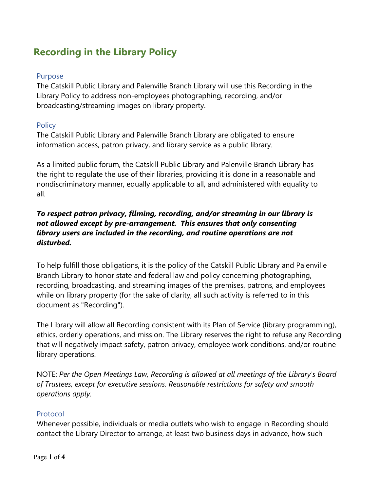# **Recording in the Library Policy**

#### Purpose

The Catskill Public Library and Palenville Branch Library will use this Recording in the Library Policy to address non-employees photographing, recording, and/or broadcasting/streaming images on library property.

### **Policy**

The Catskill Public Library and Palenville Branch Library are obligated to ensure information access, patron privacy, and library service as a public library.

As a limited public forum, the Catskill Public Library and Palenville Branch Library has the right to regulate the use of their libraries, providing it is done in a reasonable and nondiscriminatory manner, equally applicable to all, and administered with equality to all.

## *To respect patron privacy, filming, recording, and/or streaming in our library is not allowed except by pre-arrangement. This ensures that only consenting library users are included in the recording, and routine operations are not disturbed.*

To help fulfill those obligations, it is the policy of the Catskill Public Library and Palenville Branch Library to honor state and federal law and policy concerning photographing, recording, broadcasting, and streaming images of the premises, patrons, and employees while on library property (for the sake of clarity, all such activity is referred to in this document as "Recording").

The Library will allow all Recording consistent with its Plan of Service (library programming), ethics, orderly operations, and mission. The Library reserves the right to refuse any Recording that will negatively impact safety, patron privacy, employee work conditions, and/or routine library operations.

NOTE: *Per the Open Meetings Law, Recording is allowed at all meetings of the Library's Board of Trustees, except for executive sessions. Reasonable restrictions for safety and smooth operations apply.*

### Protocol

Whenever possible, individuals or media outlets who wish to engage in Recording should contact the Library Director to arrange, at least two business days in advance, how such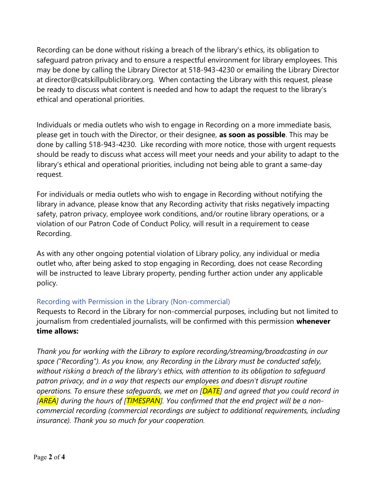Recording can be done without risking a breach of the library's ethics, its obligation to safeguard patron privacy and to ensure a respectful environment for library employees. This may be done by calling the Library Director at 518-943-4230 or emailing the Library Director at director@catskillpubliclibrary.org. When contacting the Library with this request, please be ready to discuss what content is needed and how to adapt the request to the library's ethical and operational priorities.

Individuals or media outlets who wish to engage in Recording on a more immediate basis, please get in touch with the Director, or their designee, **as soon as possible**. This may be done by calling 518-943-4230. Like recording with more notice, those with urgent requests should be ready to discuss what access will meet your needs and your ability to adapt to the library's ethical and operational priorities, including not being able to grant a same-day request.

For individuals or media outlets who wish to engage in Recording without notifying the library in advance, please know that any Recording activity that risks negatively impacting safety, patron privacy, employee work conditions, and/or routine library operations, or a violation of our Patron Code of Conduct Policy, will result in a requirement to cease Recording.

As with any other ongoing potential violation of Library policy, any individual or media outlet who, after being asked to stop engaging in Recording, does not cease Recording will be instructed to leave Library property, pending further action under any applicable policy.

### Recording with Permission in the Library (Non-commercial)

Requests to Record in the Library for non-commercial purposes, including but not limited to journalism from credentialed journalists, will be confirmed with this permission **whenever time allows:**

*Thank you for working with the Library to explore recording/streaming/broadcasting in our space ("Recording"). As you know, any Recording in the Library must be conducted safely, without risking a breach of the library's ethics, with attention to its obligation to safeguard patron privacy, and in a way that respects our employees and doesn't disrupt routine operations. To ensure these safeguards, we met on [DATE] and agreed that you could record in [AREA] during the hours of [TIMESPAN]. You confirmed that the end project will be a noncommercial recording (commercial recordings are subject to additional requirements, including insurance). Thank you so much for your cooperation.*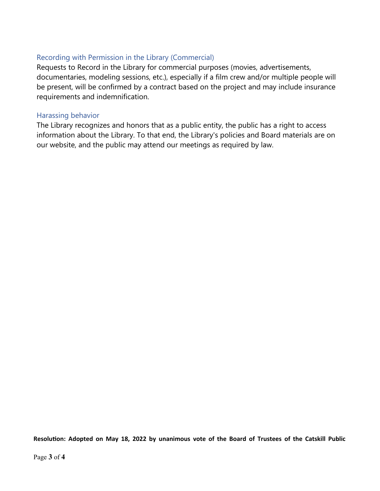#### Recording with Permission in the Library (Commercial)

Requests to Record in the Library for commercial purposes (movies, advertisements, documentaries, modeling sessions, etc.), especially if a film crew and/or multiple people will be present, will be confirmed by a contract based on the project and may include insurance requirements and indemnification.

#### Harassing behavior

The Library recognizes and honors that as a public entity, the public has a right to access information about the Library. To that end, the Library's policies and Board materials are on our website, and the public may attend our meetings as required by law.

**Resolution: Adopted on May 18, 2022 by unanimous vote of the Board of Trustees of the Catskill Public**